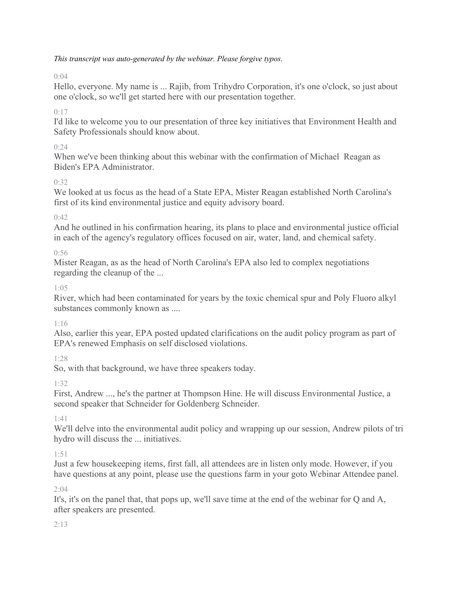## *This transcript was auto-generated by the webinar. Please forgive typos.*

# $0.04$

Hello, everyone. My name is ... Rajib, from Trihydro Corporation, it's one o'clock, so just about one o'clock, so we'll get started here with our presentation together.

# $0:17$

I'd like to welcome you to our presentation of three key initiatives that Environment Health and Safety Professionals should know about.

# $0:24$

When we've been thinking about this webinar with the confirmation of Michael Reagan as Biden's EPA Administrator.

# 0:32

We looked at us focus as the head of a State EPA, Mister Reagan established North Carolina's first of its kind environmental justice and equity advisory board.

# $0:42$

And he outlined in his confirmation hearing, its plans to place and environmental justice official in each of the agency's regulatory offices focused on air, water, land, and chemical safety.

## 0:56

Mister Reagan, as as the head of North Carolina's EPA also led to complex negotiations regarding the cleanup of the ...

## 1:05

River, which had been contaminated for years by the toxic chemical spur and Poly Fluoro alkyl substances commonly known as ....

# 1:16

Also, earlier this year, EPA posted updated clarifications on the audit policy program as part of EPA's renewed Emphasis on self disclosed violations.

# 1:28

So, with that background, we have three speakers today.

# 1:32

First, Andrew ..., he's the partner at Thompson Hine. He will discuss Environmental Justice, a second speaker that Schneider for Goldenberg Schneider.

# 1:41

We'll delve into the environmental audit policy and wrapping up our session, Andrew pilots of tri hydro will discuss the ... initiatives.

## 1:51

Just a few housekeeping items, first fall, all attendees are in listen only mode. However, if you have questions at any point, please use the questions farm in your goto Webinar Attendee panel.

## $2:04$

It's, it's on the panel that, that pops up, we'll save time at the end of the webinar for Q and A, after speakers are presented.

## $2.13$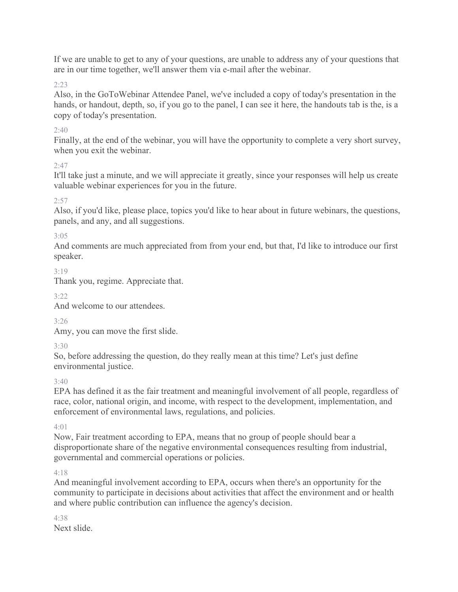If we are unable to get to any of your questions, are unable to address any of your questions that are in our time together, we'll answer them via e-mail after the webinar.

2:23

Also, in the GoToWebinar Attendee Panel, we've included a copy of today's presentation in the hands, or handout, depth, so, if you go to the panel, I can see it here, the handouts tab is the, is a copy of today's presentation.

# $2:40$

Finally, at the end of the webinar, you will have the opportunity to complete a very short survey, when you exit the webinar.

2:47

It'll take just a minute, and we will appreciate it greatly, since your responses will help us create valuable webinar experiences for you in the future.

## $2:57$

Also, if you'd like, please place, topics you'd like to hear about in future webinars, the questions, panels, and any, and all suggestions.

## 3:05

And comments are much appreciated from from your end, but that, I'd like to introduce our first speaker.

# 3:19

Thank you, regime. Appreciate that.

# $3.22$

And welcome to our attendees.

3:26

Amy, you can move the first slide.

3:30

So, before addressing the question, do they really mean at this time? Let's just define environmental justice.

3:40

EPA has defined it as the fair treatment and meaningful involvement of all people, regardless of race, color, national origin, and income, with respect to the development, implementation, and enforcement of environmental laws, regulations, and policies.

## $4.01$

Now, Fair treatment according to EPA, means that no group of people should bear a disproportionate share of the negative environmental consequences resulting from industrial, governmental and commercial operations or policies.

## $4.18$

And meaningful involvement according to EPA, occurs when there's an opportunity for the community to participate in decisions about activities that affect the environment and or health and where public contribution can influence the agency's decision.

4:38 Next slide.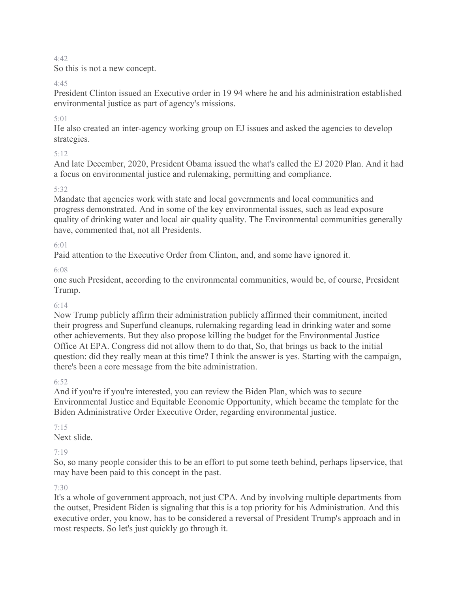So this is not a new concept.

#### 4:45

President Clinton issued an Executive order in 19 94 where he and his administration established environmental justice as part of agency's missions.

## 5:01

He also created an inter-agency working group on EJ issues and asked the agencies to develop strategies.

## 5:12

And late December, 2020, President Obama issued the what's called the EJ 2020 Plan. And it had a focus on environmental justice and rulemaking, permitting and compliance.

## 5:32

Mandate that agencies work with state and local governments and local communities and progress demonstrated. And in some of the key environmental issues, such as lead exposure quality of drinking water and local air quality quality. The Environmental communities generally have, commented that, not all Presidents.

## 6:01

Paid attention to the Executive Order from Clinton, and, and some have ignored it.

6:08

one such President, according to the environmental communities, would be, of course, President Trump.

#### 6:14

Now Trump publicly affirm their administration publicly affirmed their commitment, incited their progress and Superfund cleanups, rulemaking regarding lead in drinking water and some other achievements. But they also propose killing the budget for the Environmental Justice Office At EPA. Congress did not allow them to do that, So, that brings us back to the initial question: did they really mean at this time? I think the answer is yes. Starting with the campaign, there's been a core message from the bite administration.

## 6:52

And if you're if you're interested, you can review the Biden Plan, which was to secure Environmental Justice and Equitable Economic Opportunity, which became the template for the Biden Administrative Order Executive Order, regarding environmental justice.

## 7:15

Next slide.

## 7:19

So, so many people consider this to be an effort to put some teeth behind, perhaps lipservice, that may have been paid to this concept in the past.

#### 7:30

It's a whole of government approach, not just CPA. And by involving multiple departments from the outset, President Biden is signaling that this is a top priority for his Administration. And this executive order, you know, has to be considered a reversal of President Trump's approach and in most respects. So let's just quickly go through it.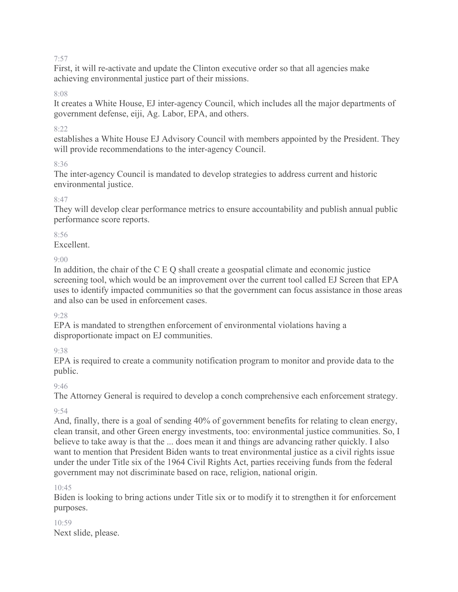First, it will re-activate and update the Clinton executive order so that all agencies make achieving environmental justice part of their missions.

#### 8:08

It creates a White House, EJ inter-agency Council, which includes all the major departments of government defense, eiji, Ag. Labor, EPA, and others.

#### 8:22

establishes a White House EJ Advisory Council with members appointed by the President. They will provide recommendations to the inter-agency Council.

#### 8:36

The inter-agency Council is mandated to develop strategies to address current and historic environmental justice.

#### 8:47

They will develop clear performance metrics to ensure accountability and publish annual public performance score reports.

## 8:56

Excellent.

## $9.00$

In addition, the chair of the C E Q shall create a geospatial climate and economic justice screening tool, which would be an improvement over the current tool called EJ Screen that EPA uses to identify impacted communities so that the government can focus assistance in those areas and also can be used in enforcement cases.

#### 9:28

EPA is mandated to strengthen enforcement of environmental violations having a disproportionate impact on EJ communities.

9:38

EPA is required to create a community notification program to monitor and provide data to the public.

#### $9.46$

The Attorney General is required to develop a conch comprehensive each enforcement strategy.

## 9:54

And, finally, there is a goal of sending 40% of government benefits for relating to clean energy, clean transit, and other Green energy investments, too: environmental justice communities. So, I believe to take away is that the ... does mean it and things are advancing rather quickly. I also want to mention that President Biden wants to treat environmental justice as a civil rights issue under the under Title six of the 1964 Civil Rights Act, parties receiving funds from the federal government may not discriminate based on race, religion, national origin.

#### $10.45$

Biden is looking to bring actions under Title six or to modify it to strengthen it for enforcement purposes.

10:59 Next slide, please.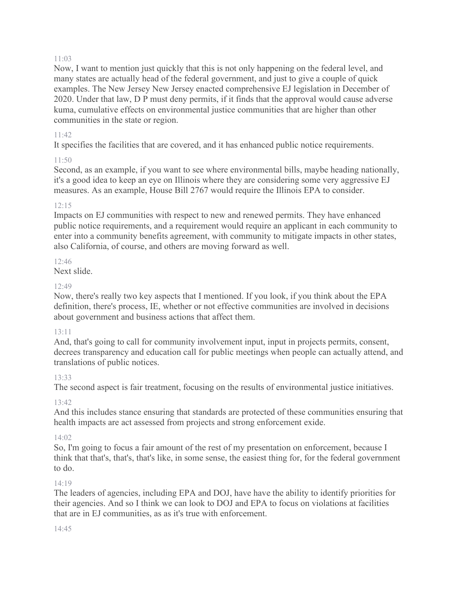Now, I want to mention just quickly that this is not only happening on the federal level, and many states are actually head of the federal government, and just to give a couple of quick examples. The New Jersey New Jersey enacted comprehensive EJ legislation in December of 2020. Under that law, D P must deny permits, if it finds that the approval would cause adverse kuma, cumulative effects on environmental justice communities that are higher than other communities in the state or region.

## 11:42

It specifies the facilities that are covered, and it has enhanced public notice requirements.

# 11:50

Second, as an example, if you want to see where environmental bills, maybe heading nationally, it's a good idea to keep an eye on Illinois where they are considering some very aggressive EJ measures. As an example, House Bill 2767 would require the Illinois EPA to consider.

## 12:15

Impacts on EJ communities with respect to new and renewed permits. They have enhanced public notice requirements, and a requirement would require an applicant in each community to enter into a community benefits agreement, with community to mitigate impacts in other states, also California, of course, and others are moving forward as well.

# $12.46$

Next slide.

## 12:49

Now, there's really two key aspects that I mentioned. If you look, if you think about the EPA definition, there's process, IE, whether or not effective communities are involved in decisions about government and business actions that affect them.

## 13:11

And, that's going to call for community involvement input, input in projects permits, consent, decrees transparency and education call for public meetings when people can actually attend, and translations of public notices.

## 13:33

The second aspect is fair treatment, focusing on the results of environmental justice initiatives.

## 13:42

And this includes stance ensuring that standards are protected of these communities ensuring that health impacts are act assessed from projects and strong enforcement exide.

## $14.02$

So, I'm going to focus a fair amount of the rest of my presentation on enforcement, because I think that that's, that's, that's like, in some sense, the easiest thing for, for the federal government to do.

## $14.19$

The leaders of agencies, including EPA and DOJ, have have the ability to identify priorities for their agencies. And so I think we can look to DOJ and EPA to focus on violations at facilities that are in EJ communities, as as it's true with enforcement.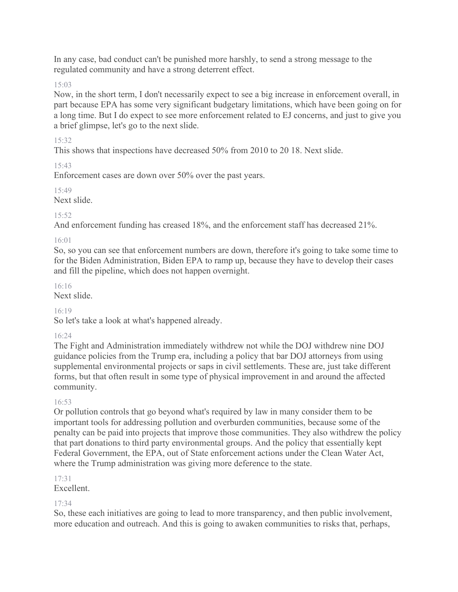In any case, bad conduct can't be punished more harshly, to send a strong message to the regulated community and have a strong deterrent effect.

15:03

Now, in the short term, I don't necessarily expect to see a big increase in enforcement overall, in part because EPA has some very significant budgetary limitations, which have been going on for a long time. But I do expect to see more enforcement related to EJ concerns, and just to give you a brief glimpse, let's go to the next slide.

15:32

This shows that inspections have decreased 50% from 2010 to 20 18. Next slide.

15:43

Enforcement cases are down over 50% over the past years.

 $15.49$ 

Next slide.

#### 15:52

And enforcement funding has creased 18%, and the enforcement staff has decreased 21%.

#### 16:01

So, so you can see that enforcement numbers are down, therefore it's going to take some time to for the Biden Administration, Biden EPA to ramp up, because they have to develop their cases and fill the pipeline, which does not happen overnight.

16:16

Next slide.

## 16:19

So let's take a look at what's happened already.

## 16:24

The Fight and Administration immediately withdrew not while the DOJ withdrew nine DOJ guidance policies from the Trump era, including a policy that bar DOJ attorneys from using supplemental environmental projects or saps in civil settlements. These are, just take different forms, but that often result in some type of physical improvement in and around the affected community.

#### 16:53

Or pollution controls that go beyond what's required by law in many consider them to be important tools for addressing pollution and overburden communities, because some of the penalty can be paid into projects that improve those communities. They also withdrew the policy that part donations to third party environmental groups. And the policy that essentially kept Federal Government, the EPA, out of State enforcement actions under the Clean Water Act, where the Trump administration was giving more deference to the state.

## 17:31

Excellent.

## 17:34

So, these each initiatives are going to lead to more transparency, and then public involvement, more education and outreach. And this is going to awaken communities to risks that, perhaps,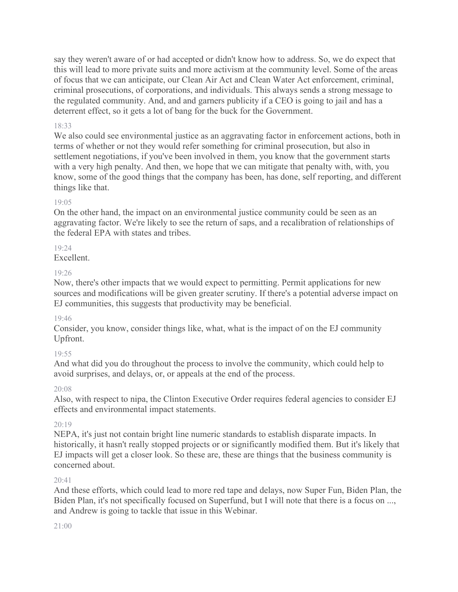say they weren't aware of or had accepted or didn't know how to address. So, we do expect that this will lead to more private suits and more activism at the community level. Some of the areas of focus that we can anticipate, our Clean Air Act and Clean Water Act enforcement, criminal, criminal prosecutions, of corporations, and individuals. This always sends a strong message to the regulated community. And, and and garners publicity if a CEO is going to jail and has a deterrent effect, so it gets a lot of bang for the buck for the Government.

## 18:33

We also could see environmental justice as an aggravating factor in enforcement actions, both in terms of whether or not they would refer something for criminal prosecution, but also in settlement negotiations, if you've been involved in them, you know that the government starts with a very high penalty. And then, we hope that we can mitigate that penalty with, with, you know, some of the good things that the company has been, has done, self reporting, and different things like that.

## 19:05

On the other hand, the impact on an environmental justice community could be seen as an aggravating factor. We're likely to see the return of saps, and a recalibration of relationships of the federal EPA with states and tribes.

## 19:24

Excellent.

## 19:26

Now, there's other impacts that we would expect to permitting. Permit applications for new sources and modifications will be given greater scrutiny. If there's a potential adverse impact on EJ communities, this suggests that productivity may be beneficial.

## 19:46

Consider, you know, consider things like, what, what is the impact of on the EJ community Upfront.

## 19:55

And what did you do throughout the process to involve the community, which could help to avoid surprises, and delays, or, or appeals at the end of the process.

## 20:08

Also, with respect to nipa, the Clinton Executive Order requires federal agencies to consider EJ effects and environmental impact statements.

## 20:19

NEPA, it's just not contain bright line numeric standards to establish disparate impacts. In historically, it hasn't really stopped projects or or significantly modified them. But it's likely that EJ impacts will get a closer look. So these are, these are things that the business community is concerned about.

## $20.41$

And these efforts, which could lead to more red tape and delays, now Super Fun, Biden Plan, the Biden Plan, it's not specifically focused on Superfund, but I will note that there is a focus on ..., and Andrew is going to tackle that issue in this Webinar.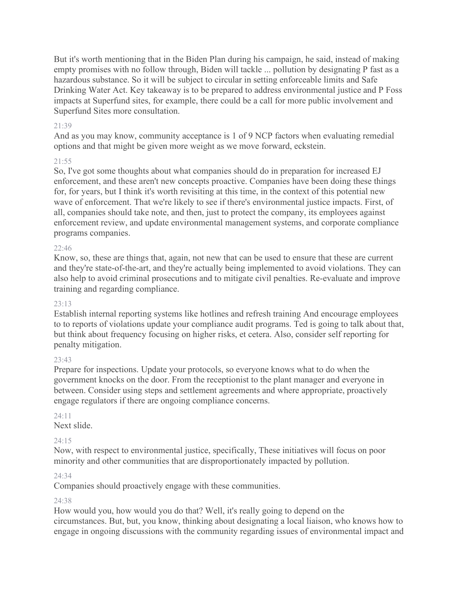But it's worth mentioning that in the Biden Plan during his campaign, he said, instead of making empty promises with no follow through, Biden will tackle ... pollution by designating P fast as a hazardous substance. So it will be subject to circular in setting enforceable limits and Safe Drinking Water Act. Key takeaway is to be prepared to address environmental justice and P Foss impacts at Superfund sites, for example, there could be a call for more public involvement and Superfund Sites more consultation.

## 21:39

And as you may know, community acceptance is 1 of 9 NCP factors when evaluating remedial options and that might be given more weight as we move forward, eckstein.

#### $21.55$

So, I've got some thoughts about what companies should do in preparation for increased EJ enforcement, and these aren't new concepts proactive. Companies have been doing these things for, for years, but I think it's worth revisiting at this time, in the context of this potential new wave of enforcement. That we're likely to see if there's environmental justice impacts. First, of all, companies should take note, and then, just to protect the company, its employees against enforcement review, and update environmental management systems, and corporate compliance programs companies.

#### $22:46$

Know, so, these are things that, again, not new that can be used to ensure that these are current and they're state-of-the-art, and they're actually being implemented to avoid violations. They can also help to avoid criminal prosecutions and to mitigate civil penalties. Re-evaluate and improve training and regarding compliance.

#### 23:13

Establish internal reporting systems like hotlines and refresh training And encourage employees to to reports of violations update your compliance audit programs. Ted is going to talk about that, but think about frequency focusing on higher risks, et cetera. Also, consider self reporting for penalty mitigation.

#### 23:43

Prepare for inspections. Update your protocols, so everyone knows what to do when the government knocks on the door. From the receptionist to the plant manager and everyone in between. Consider using steps and settlement agreements and where appropriate, proactively engage regulators if there are ongoing compliance concerns.

#### 24:11

Next slide.

## 24:15

Now, with respect to environmental justice, specifically, These initiatives will focus on poor minority and other communities that are disproportionately impacted by pollution.

#### 24:34

Companies should proactively engage with these communities.

#### 24:38

How would you, how would you do that? Well, it's really going to depend on the circumstances. But, but, you know, thinking about designating a local liaison, who knows how to engage in ongoing discussions with the community regarding issues of environmental impact and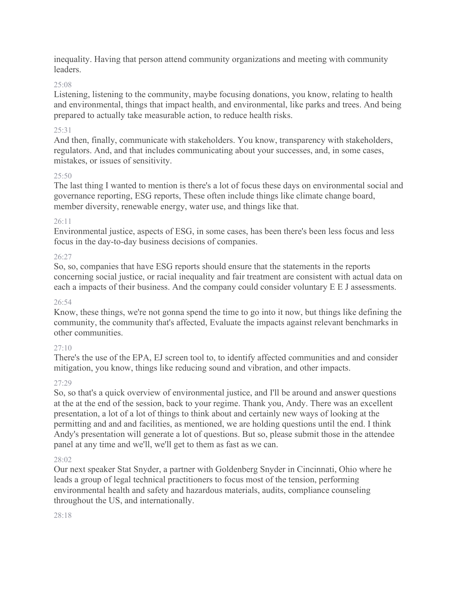inequality. Having that person attend community organizations and meeting with community leaders.

#### 25:08

Listening, listening to the community, maybe focusing donations, you know, relating to health and environmental, things that impact health, and environmental, like parks and trees. And being prepared to actually take measurable action, to reduce health risks.

#### 25:31

And then, finally, communicate with stakeholders. You know, transparency with stakeholders, regulators. And, and that includes communicating about your successes, and, in some cases, mistakes, or issues of sensitivity.

#### $25.50$

The last thing I wanted to mention is there's a lot of focus these days on environmental social and governance reporting, ESG reports, These often include things like climate change board, member diversity, renewable energy, water use, and things like that.

#### 26:11

Environmental justice, aspects of ESG, in some cases, has been there's been less focus and less focus in the day-to-day business decisions of companies.

#### 26:27

So, so, companies that have ESG reports should ensure that the statements in the reports concerning social justice, or racial inequality and fair treatment are consistent with actual data on each a impacts of their business. And the company could consider voluntary E E J assessments.

#### 26:54

Know, these things, we're not gonna spend the time to go into it now, but things like defining the community, the community that's affected, Evaluate the impacts against relevant benchmarks in other communities.

## $27:10$

There's the use of the EPA, EJ screen tool to, to identify affected communities and and consider mitigation, you know, things like reducing sound and vibration, and other impacts.

## 27:29

So, so that's a quick overview of environmental justice, and I'll be around and answer questions at the at the end of the session, back to your regime. Thank you, Andy. There was an excellent presentation, a lot of a lot of things to think about and certainly new ways of looking at the permitting and and and facilities, as mentioned, we are holding questions until the end. I think Andy's presentation will generate a lot of questions. But so, please submit those in the attendee panel at any time and we'll, we'll get to them as fast as we can.

#### 28:02

Our next speaker Stat Snyder, a partner with Goldenberg Snyder in Cincinnati, Ohio where he leads a group of legal technical practitioners to focus most of the tension, performing environmental health and safety and hazardous materials, audits, compliance counseling throughout the US, and internationally.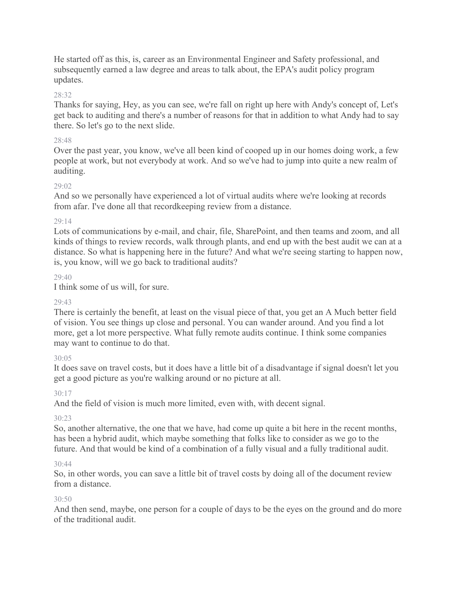He started off as this, is, career as an Environmental Engineer and Safety professional, and subsequently earned a law degree and areas to talk about, the EPA's audit policy program updates.

#### 28:32

Thanks for saying, Hey, as you can see, we're fall on right up here with Andy's concept of, Let's get back to auditing and there's a number of reasons for that in addition to what Andy had to say there. So let's go to the next slide.

#### 28:48

Over the past year, you know, we've all been kind of cooped up in our homes doing work, a few people at work, but not everybody at work. And so we've had to jump into quite a new realm of auditing.

#### 29:02

And so we personally have experienced a lot of virtual audits where we're looking at records from afar. I've done all that recordkeeping review from a distance.

#### 29:14

Lots of communications by e-mail, and chair, file, SharePoint, and then teams and zoom, and all kinds of things to review records, walk through plants, and end up with the best audit we can at a distance. So what is happening here in the future? And what we're seeing starting to happen now, is, you know, will we go back to traditional audits?

#### $29.40$

I think some of us will, for sure.

#### $29.43$

There is certainly the benefit, at least on the visual piece of that, you get an A Much better field of vision. You see things up close and personal. You can wander around. And you find a lot more, get a lot more perspective. What fully remote audits continue. I think some companies may want to continue to do that.

#### 30:05

It does save on travel costs, but it does have a little bit of a disadvantage if signal doesn't let you get a good picture as you're walking around or no picture at all.

#### $30.17$

And the field of vision is much more limited, even with, with decent signal.

#### 30:23

So, another alternative, the one that we have, had come up quite a bit here in the recent months, has been a hybrid audit, which maybe something that folks like to consider as we go to the future. And that would be kind of a combination of a fully visual and a fully traditional audit.

#### 30:44

So, in other words, you can save a little bit of travel costs by doing all of the document review from a distance.

#### 30:50

And then send, maybe, one person for a couple of days to be the eyes on the ground and do more of the traditional audit.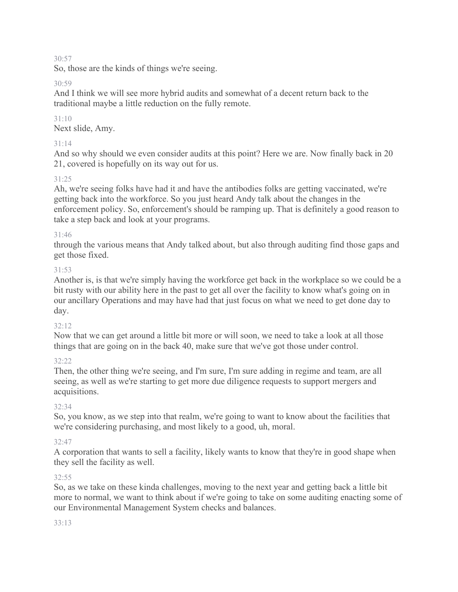So, those are the kinds of things we're seeing.

#### 30:59

And I think we will see more hybrid audits and somewhat of a decent return back to the traditional maybe a little reduction on the fully remote.

## $31:10$

Next slide, Amy.

## 31:14

And so why should we even consider audits at this point? Here we are. Now finally back in 20 21, covered is hopefully on its way out for us.

## $31.25$

Ah, we're seeing folks have had it and have the antibodies folks are getting vaccinated, we're getting back into the workforce. So you just heard Andy talk about the changes in the enforcement policy. So, enforcement's should be ramping up. That is definitely a good reason to take a step back and look at your programs.

## 31:46

through the various means that Andy talked about, but also through auditing find those gaps and get those fixed.

## 31:53

Another is, is that we're simply having the workforce get back in the workplace so we could be a bit rusty with our ability here in the past to get all over the facility to know what's going on in our ancillary Operations and may have had that just focus on what we need to get done day to day.

## 32:12

Now that we can get around a little bit more or will soon, we need to take a look at all those things that are going on in the back 40, make sure that we've got those under control.

## 32:22

Then, the other thing we're seeing, and I'm sure, I'm sure adding in regime and team, are all seeing, as well as we're starting to get more due diligence requests to support mergers and acquisitions.

## 32:34

So, you know, as we step into that realm, we're going to want to know about the facilities that we're considering purchasing, and most likely to a good, uh, moral.

## 32:47

A corporation that wants to sell a facility, likely wants to know that they're in good shape when they sell the facility as well.

## 32:55

So, as we take on these kinda challenges, moving to the next year and getting back a little bit more to normal, we want to think about if we're going to take on some auditing enacting some of our Environmental Management System checks and balances.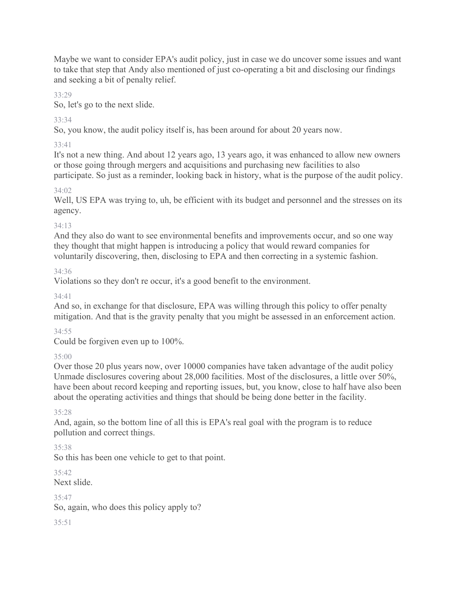Maybe we want to consider EPA's audit policy, just in case we do uncover some issues and want to take that step that Andy also mentioned of just co-operating a bit and disclosing our findings and seeking a bit of penalty relief.

## 33:29

So, let's go to the next slide.

# 33:34

So, you know, the audit policy itself is, has been around for about 20 years now.

# 33:41

It's not a new thing. And about 12 years ago, 13 years ago, it was enhanced to allow new owners or those going through mergers and acquisitions and purchasing new facilities to also participate. So just as a reminder, looking back in history, what is the purpose of the audit policy.

# $34.02$

Well, US EPA was trying to, uh, be efficient with its budget and personnel and the stresses on its agency.

# 34:13

And they also do want to see environmental benefits and improvements occur, and so one way they thought that might happen is introducing a policy that would reward companies for voluntarily discovering, then, disclosing to EPA and then correcting in a systemic fashion.

# 34:36

Violations so they don't re occur, it's a good benefit to the environment.

34:41

And so, in exchange for that disclosure, EPA was willing through this policy to offer penalty mitigation. And that is the gravity penalty that you might be assessed in an enforcement action.

# 34:55

Could be forgiven even up to 100%.

# 35:00

Over those 20 plus years now, over 10000 companies have taken advantage of the audit policy Unmade disclosures covering about 28,000 facilities. Most of the disclosures, a little over 50%, have been about record keeping and reporting issues, but, you know, close to half have also been about the operating activities and things that should be being done better in the facility.

# 35:28

And, again, so the bottom line of all this is EPA's real goal with the program is to reduce pollution and correct things.

# 35:38

So this has been one vehicle to get to that point.

 $35.42$ Next slide.

35:47

So, again, who does this policy apply to?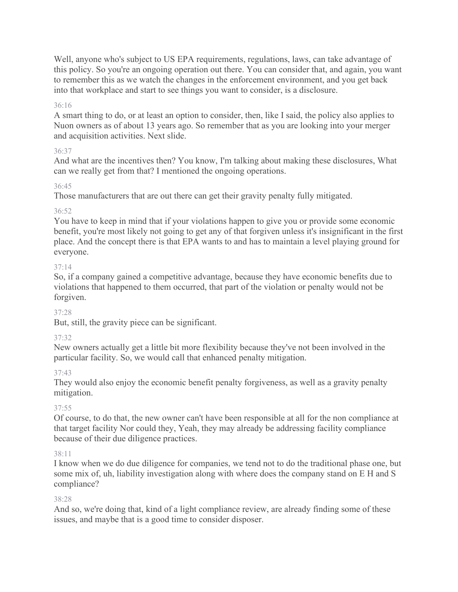Well, anyone who's subject to US EPA requirements, regulations, laws, can take advantage of this policy. So you're an ongoing operation out there. You can consider that, and again, you want to remember this as we watch the changes in the enforcement environment, and you get back into that workplace and start to see things you want to consider, is a disclosure.

#### 36:16

A smart thing to do, or at least an option to consider, then, like I said, the policy also applies to Nuon owners as of about 13 years ago. So remember that as you are looking into your merger and acquisition activities. Next slide.

## 36:37

And what are the incentives then? You know, I'm talking about making these disclosures, What can we really get from that? I mentioned the ongoing operations.

## 36:45

Those manufacturers that are out there can get their gravity penalty fully mitigated.

## 36:52

You have to keep in mind that if your violations happen to give you or provide some economic benefit, you're most likely not going to get any of that forgiven unless it's insignificant in the first place. And the concept there is that EPA wants to and has to maintain a level playing ground for everyone.

#### 37:14

So, if a company gained a competitive advantage, because they have economic benefits due to violations that happened to them occurred, that part of the violation or penalty would not be forgiven.

#### 37:28

But, still, the gravity piece can be significant.

#### 37:32

New owners actually get a little bit more flexibility because they've not been involved in the particular facility. So, we would call that enhanced penalty mitigation.

#### 37:43

They would also enjoy the economic benefit penalty forgiveness, as well as a gravity penalty mitigation.

## 37:55

Of course, to do that, the new owner can't have been responsible at all for the non compliance at that target facility Nor could they, Yeah, they may already be addressing facility compliance because of their due diligence practices.

#### 38:11

I know when we do due diligence for companies, we tend not to do the traditional phase one, but some mix of, uh, liability investigation along with where does the company stand on E H and S compliance?

#### 38:28

And so, we're doing that, kind of a light compliance review, are already finding some of these issues, and maybe that is a good time to consider disposer.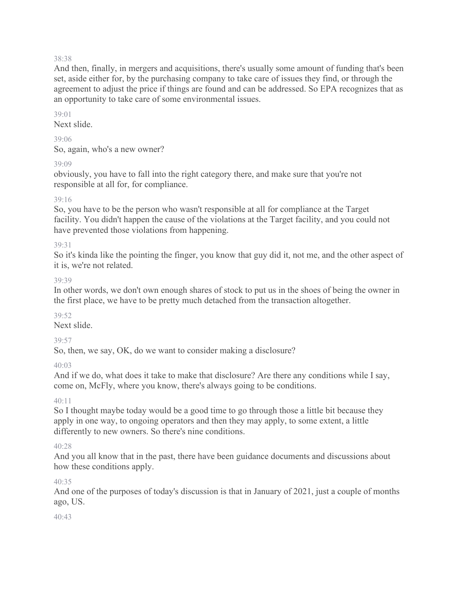And then, finally, in mergers and acquisitions, there's usually some amount of funding that's been set, aside either for, by the purchasing company to take care of issues they find, or through the agreement to adjust the price if things are found and can be addressed. So EPA recognizes that as an opportunity to take care of some environmental issues.

#### 39:01

Next slide.

#### 39:06

So, again, who's a new owner?

39:09

obviously, you have to fall into the right category there, and make sure that you're not responsible at all for, for compliance.

#### 39:16

So, you have to be the person who wasn't responsible at all for compliance at the Target facility. You didn't happen the cause of the violations at the Target facility, and you could not have prevented those violations from happening.

#### 39:31

So it's kinda like the pointing the finger, you know that guy did it, not me, and the other aspect of it is, we're not related.

#### 39:39

In other words, we don't own enough shares of stock to put us in the shoes of being the owner in the first place, we have to be pretty much detached from the transaction altogether.

#### 39:52

Next slide.

## 39:57

So, then, we say, OK, do we want to consider making a disclosure?

## 40:03

And if we do, what does it take to make that disclosure? Are there any conditions while I say, come on, McFly, where you know, there's always going to be conditions.

 $40 \cdot 11$ 

So I thought maybe today would be a good time to go through those a little bit because they apply in one way, to ongoing operators and then they may apply, to some extent, a little differently to new owners. So there's nine conditions.

#### 40:28

And you all know that in the past, there have been guidance documents and discussions about how these conditions apply.

## 40:35

And one of the purposes of today's discussion is that in January of 2021, just a couple of months ago, US.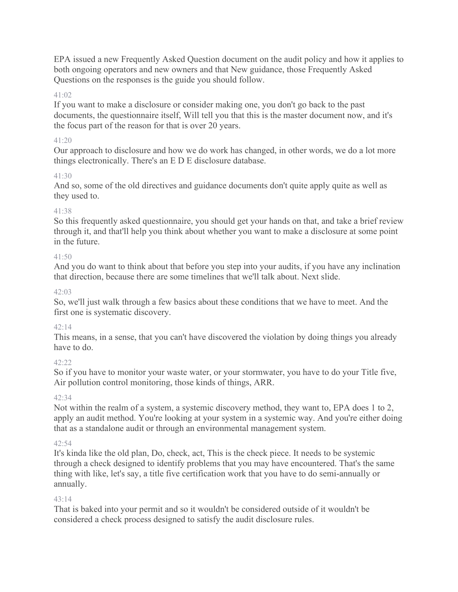EPA issued a new Frequently Asked Question document on the audit policy and how it applies to both ongoing operators and new owners and that New guidance, those Frequently Asked Questions on the responses is the guide you should follow.

## 41:02

If you want to make a disclosure or consider making one, you don't go back to the past documents, the questionnaire itself, Will tell you that this is the master document now, and it's the focus part of the reason for that is over 20 years.

#### 41:20

Our approach to disclosure and how we do work has changed, in other words, we do a lot more things electronically. There's an E D E disclosure database.

## $41.30$

And so, some of the old directives and guidance documents don't quite apply quite as well as they used to.

## 41:38

So this frequently asked questionnaire, you should get your hands on that, and take a brief review through it, and that'll help you think about whether you want to make a disclosure at some point in the future.

## 41:50

And you do want to think about that before you step into your audits, if you have any inclination that direction, because there are some timelines that we'll talk about. Next slide.

## 42:03

So, we'll just walk through a few basics about these conditions that we have to meet. And the first one is systematic discovery.

## $42:14$

This means, in a sense, that you can't have discovered the violation by doing things you already have to do.

# $42.22$

So if you have to monitor your waste water, or your stormwater, you have to do your Title five, Air pollution control monitoring, those kinds of things, ARR.

## $42.34$

Not within the realm of a system, a systemic discovery method, they want to, EPA does 1 to 2, apply an audit method. You're looking at your system in a systemic way. And you're either doing that as a standalone audit or through an environmental management system.

# 42:54

It's kinda like the old plan, Do, check, act, This is the check piece. It needs to be systemic through a check designed to identify problems that you may have encountered. That's the same thing with like, let's say, a title five certification work that you have to do semi-annually or annually.

## 43:14

That is baked into your permit and so it wouldn't be considered outside of it wouldn't be considered a check process designed to satisfy the audit disclosure rules.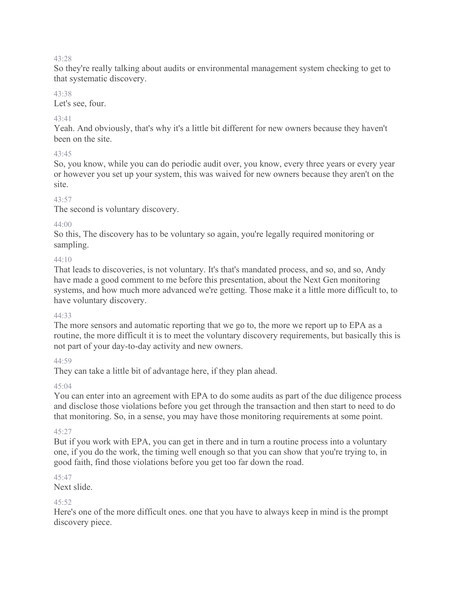So they're really talking about audits or environmental management system checking to get to that systematic discovery.

#### 43:38

Let's see, four.

## $43.41$

Yeah. And obviously, that's why it's a little bit different for new owners because they haven't been on the site.

## $43.45$

So, you know, while you can do periodic audit over, you know, every three years or every year or however you set up your system, this was waived for new owners because they aren't on the site.

## 43:57

The second is voluntary discovery.

## $44.00$

So this, The discovery has to be voluntary so again, you're legally required monitoring or sampling.

## 44:10

That leads to discoveries, is not voluntary. It's that's mandated process, and so, and so, Andy have made a good comment to me before this presentation, about the Next Gen monitoring systems, and how much more advanced we're getting. Those make it a little more difficult to, to have voluntary discovery.

## 44:33

The more sensors and automatic reporting that we go to, the more we report up to EPA as a routine, the more difficult it is to meet the voluntary discovery requirements, but basically this is not part of your day-to-day activity and new owners.

## 44:59

They can take a little bit of advantage here, if they plan ahead.

## $45.04$

You can enter into an agreement with EPA to do some audits as part of the due diligence process and disclose those violations before you get through the transaction and then start to need to do that monitoring. So, in a sense, you may have those monitoring requirements at some point.

# 45:27

But if you work with EPA, you can get in there and in turn a routine process into a voluntary one, if you do the work, the timing well enough so that you can show that you're trying to, in good faith, find those violations before you get too far down the road.

# 45:47

Next slide.

## $45.52$

Here's one of the more difficult ones. one that you have to always keep in mind is the prompt discovery piece.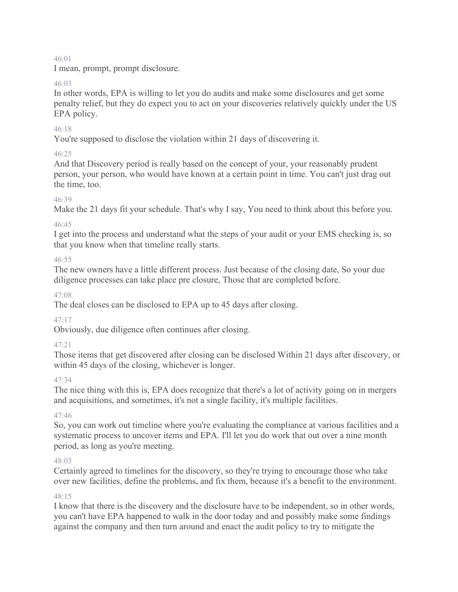I mean, prompt, prompt disclosure.

#### 46:03

In other words, EPA is willing to let you do audits and make some disclosures and get some penalty relief, but they do expect you to act on your discoveries relatively quickly under the US EPA policy.

## 46:18

You're supposed to disclose the violation within 21 days of discovering it.

## $46.25$

And that Discovery period is really based on the concept of your, your reasonably prudent person, your person, who would have known at a certain point in time. You can't just drag out the time, too.

## 46:39

Make the 21 days fit your schedule. That's why I say, You need to think about this before you.

## 46:45

I get into the process and understand what the steps of your audit or your EMS checking is, so that you know when that timeline really starts.

## 46:55

The new owners have a little different process. Just because of the closing date, So your due diligence processes can take place pre closure, Those that are completed before.

## 47:08

The deal closes can be disclosed to EPA up to 45 days after closing.

# 47:17

Obviously, due diligence often continues after closing.

# 47:21

Those items that get discovered after closing can be disclosed Within 21 days after discovery, or within 45 days of the closing, whichever is longer.

## 47:34

The nice thing with this is, EPA does recognize that there's a lot of activity going on in mergers and acquisitions, and sometimes, it's not a single facility, it's multiple facilities.

## 47:46

So, you can work out timeline where you're evaluating the compliance at various facilities and a systematic process to uncover items and EPA. I'll let you do work that out over a nine month period, as long as you're meeting.

## 48:03

Certainly agreed to timelines for the discovery, so they're trying to encourage those who take over new facilities, define the problems, and fix them, because it's a benefit to the environment.

## 48:15

I know that there is the discovery and the disclosure have to be independent, so in other words, you can't have EPA happened to walk in the door today and and possibly make some findings against the company and then turn around and enact the audit policy to try to mitigate the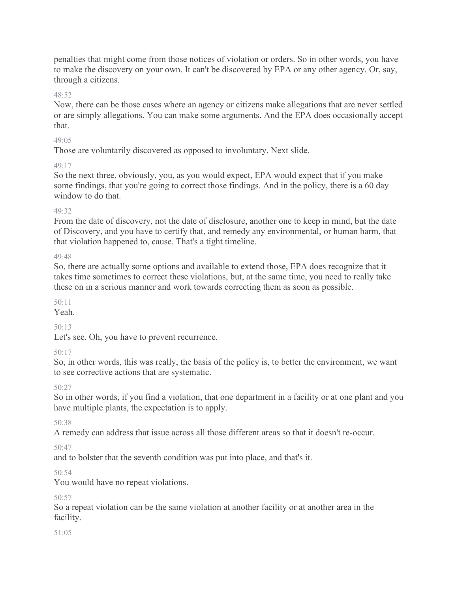penalties that might come from those notices of violation or orders. So in other words, you have to make the discovery on your own. It can't be discovered by EPA or any other agency. Or, say, through a citizens.

#### 48:52

Now, there can be those cases where an agency or citizens make allegations that are never settled or are simply allegations. You can make some arguments. And the EPA does occasionally accept that.

#### $49.05$

Those are voluntarily discovered as opposed to involuntary. Next slide.

#### 49:17

So the next three, obviously, you, as you would expect, EPA would expect that if you make some findings, that you're going to correct those findings. And in the policy, there is a 60 day window to do that.

#### 49:32

From the date of discovery, not the date of disclosure, another one to keep in mind, but the date of Discovery, and you have to certify that, and remedy any environmental, or human harm, that that violation happened to, cause. That's a tight timeline.

#### 49:48

So, there are actually some options and available to extend those, EPA does recognize that it takes time sometimes to correct these violations, but, at the same time, you need to really take these on in a serious manner and work towards correcting them as soon as possible.

## 50:11

Yeah.

## $50.13$

Let's see. Oh, you have to prevent recurrence.

## 50:17

So, in other words, this was really, the basis of the policy is, to better the environment, we want to see corrective actions that are systematic.

## 50:27

So in other words, if you find a violation, that one department in a facility or at one plant and you have multiple plants, the expectation is to apply.

## 50:38

A remedy can address that issue across all those different areas so that it doesn't re-occur.

## 50:47

and to bolster that the seventh condition was put into place, and that's it.

#### 50:54

You would have no repeat violations.

#### 50:57

So a repeat violation can be the same violation at another facility or at another area in the facility.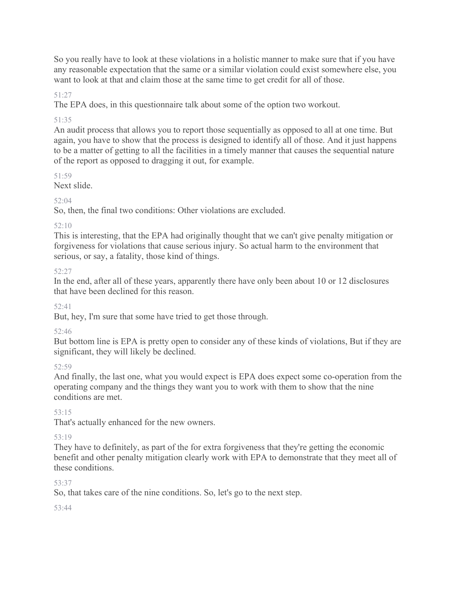So you really have to look at these violations in a holistic manner to make sure that if you have any reasonable expectation that the same or a similar violation could exist somewhere else, you want to look at that and claim those at the same time to get credit for all of those.

## 51:27

The EPA does, in this questionnaire talk about some of the option two workout.

## 51:35

An audit process that allows you to report those sequentially as opposed to all at one time. But again, you have to show that the process is designed to identify all of those. And it just happens to be a matter of getting to all the facilities in a timely manner that causes the sequential nature of the report as opposed to dragging it out, for example.

51:59

Next slide.

 $52.04$ 

So, then, the final two conditions: Other violations are excluded.

# $52:10$

This is interesting, that the EPA had originally thought that we can't give penalty mitigation or forgiveness for violations that cause serious injury. So actual harm to the environment that serious, or say, a fatality, those kind of things.

# 52:27

In the end, after all of these years, apparently there have only been about 10 or 12 disclosures that have been declined for this reason.

# 52:41

But, hey, I'm sure that some have tried to get those through.

# 52:46

But bottom line is EPA is pretty open to consider any of these kinds of violations, But if they are significant, they will likely be declined.

# 52:59

And finally, the last one, what you would expect is EPA does expect some co-operation from the operating company and the things they want you to work with them to show that the nine conditions are met.

# 53:15

That's actually enhanced for the new owners.

# 53:19

They have to definitely, as part of the for extra forgiveness that they're getting the economic benefit and other penalty mitigation clearly work with EPA to demonstrate that they meet all of these conditions.

# 53:37

So, that takes care of the nine conditions. So, let's go to the next step.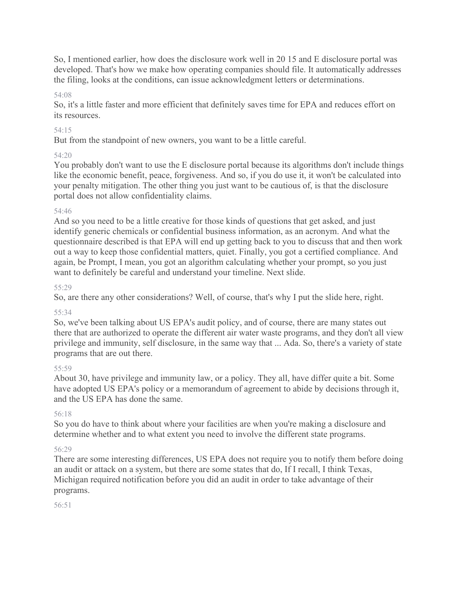So, I mentioned earlier, how does the disclosure work well in 20 15 and E disclosure portal was developed. That's how we make how operating companies should file. It automatically addresses the filing, looks at the conditions, can issue acknowledgment letters or determinations.

#### 54:08

So, it's a little faster and more efficient that definitely saves time for EPA and reduces effort on its resources.

#### 54:15

But from the standpoint of new owners, you want to be a little careful.

#### 54:20

You probably don't want to use the E disclosure portal because its algorithms don't include things like the economic benefit, peace, forgiveness. And so, if you do use it, it won't be calculated into your penalty mitigation. The other thing you just want to be cautious of, is that the disclosure portal does not allow confidentiality claims.

#### 54:46

And so you need to be a little creative for those kinds of questions that get asked, and just identify generic chemicals or confidential business information, as an acronym. And what the questionnaire described is that EPA will end up getting back to you to discuss that and then work out a way to keep those confidential matters, quiet. Finally, you got a certified compliance. And again, be Prompt, I mean, you got an algorithm calculating whether your prompt, so you just want to definitely be careful and understand your timeline. Next slide.

#### 55:29

So, are there any other considerations? Well, of course, that's why I put the slide here, right.

## 55:34

So, we've been talking about US EPA's audit policy, and of course, there are many states out there that are authorized to operate the different air water waste programs, and they don't all view privilege and immunity, self disclosure, in the same way that ... Ada. So, there's a variety of state programs that are out there.

## 55:59

About 30, have privilege and immunity law, or a policy. They all, have differ quite a bit. Some have adopted US EPA's policy or a memorandum of agreement to abide by decisions through it, and the US EPA has done the same.

## 56:18

So you do have to think about where your facilities are when you're making a disclosure and determine whether and to what extent you need to involve the different state programs.

## 56:29

There are some interesting differences, US EPA does not require you to notify them before doing an audit or attack on a system, but there are some states that do, If I recall, I think Texas, Michigan required notification before you did an audit in order to take advantage of their programs.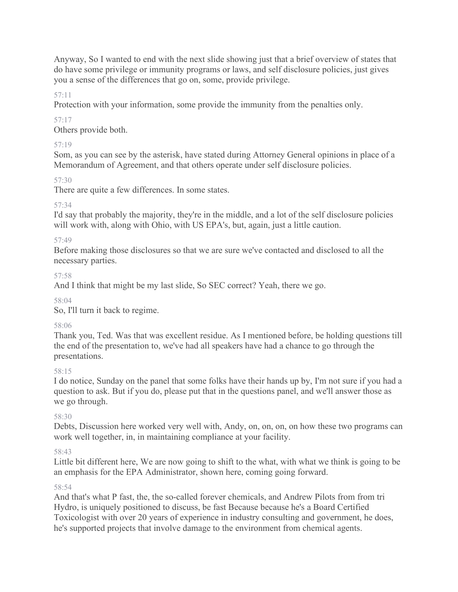Anyway, So I wanted to end with the next slide showing just that a brief overview of states that do have some privilege or immunity programs or laws, and self disclosure policies, just gives you a sense of the differences that go on, some, provide privilege.

## 57:11

Protection with your information, some provide the immunity from the penalties only.

## 57:17

Others provide both.

# 57:19

Som, as you can see by the asterisk, have stated during Attorney General opinions in place of a Memorandum of Agreement, and that others operate under self disclosure policies.

# 57:30

There are quite a few differences. In some states.

# 57:34

I'd say that probably the majority, they're in the middle, and a lot of the self disclosure policies will work with, along with Ohio, with US EPA's, but, again, just a little caution.

# 57:49

Before making those disclosures so that we are sure we've contacted and disclosed to all the necessary parties.

# 57:58

And I think that might be my last slide, So SEC correct? Yeah, there we go.

58:04

So, I'll turn it back to regime.

# 58:06

Thank you, Ted. Was that was excellent residue. As I mentioned before, be holding questions till the end of the presentation to, we've had all speakers have had a chance to go through the presentations.

# 58:15

I do notice, Sunday on the panel that some folks have their hands up by, I'm not sure if you had a question to ask. But if you do, please put that in the questions panel, and we'll answer those as we go through.

# 58:30

Debts, Discussion here worked very well with, Andy, on, on, on, on how these two programs can work well together, in, in maintaining compliance at your facility.

# 58:43

Little bit different here, We are now going to shift to the what, with what we think is going to be an emphasis for the EPA Administrator, shown here, coming going forward.

## 58:54

And that's what P fast, the, the so-called forever chemicals, and Andrew Pilots from from tri Hydro, is uniquely positioned to discuss, be fast Because because he's a Board Certified Toxicologist with over 20 years of experience in industry consulting and government, he does, he's supported projects that involve damage to the environment from chemical agents.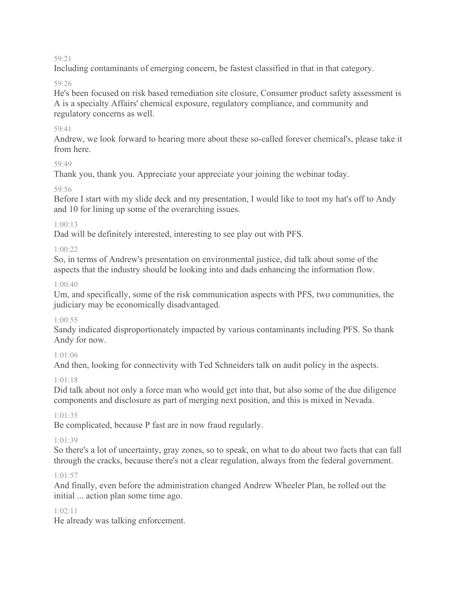Including contaminants of emerging concern, be fastest classified in that in that category.

#### 59:26

He's been focused on risk based remediation site closure, Consumer product safety assessment is A is a specialty Affairs' chemical exposure, regulatory compliance, and community and regulatory concerns as well.

## 59:41

Andrew, we look forward to hearing more about these so-called forever chemical's, please take it from here.

## 59:49

Thank you, thank you. Appreciate your appreciate your joining the webinar today.

## 59:56

Before I start with my slide deck and my presentation, I would like to toot my hat's off to Andy and 10 for lining up some of the overarching issues.

## 1:00:13

Dad will be definitely interested, interesting to see play out with PFS.

## 1:00:22

So, in terms of Andrew's presentation on environmental justice, did talk about some of the aspects that the industry should be looking into and dads enhancing the information flow.

## $1:00:40$

Um, and specifically, some of the risk communication aspects with PFS, two communities, the judiciary may be economically disadvantaged.

## $1:00:55$

Sandy indicated disproportionately impacted by various contaminants including PFS. So thank Andy for now.

## 1:01:06

And then, looking for connectivity with Ted Schneiders talk on audit policy in the aspects.

## 1:01:18

Did talk about not only a force man who would get into that, but also some of the due diligence components and disclosure as part of merging next position, and this is mixed in Nevada.

## 1:01:35

Be complicated, because P fast are in now fraud regularly.

## 1:01:39

So there's a lot of uncertainty, gray zones, so to speak, on what to do about two facts that can fall through the cracks, because there's not a clear regulation, always from the federal government.

## 1:01:57

And finally, even before the administration changed Andrew Wheeler Plan, he rolled out the initial ... action plan some time ago.

## 1:02:11

He already was talking enforcement.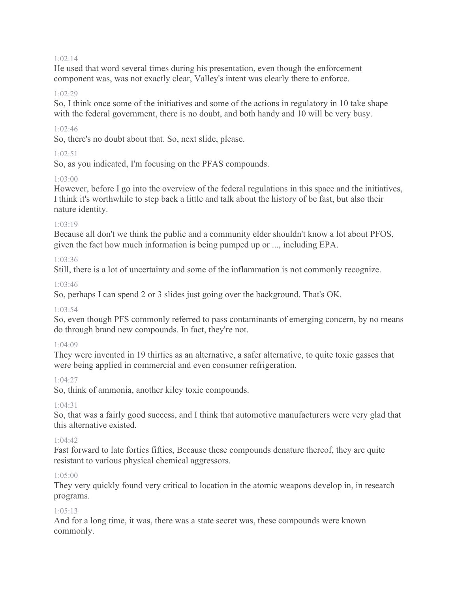#### 1:02:14

He used that word several times during his presentation, even though the enforcement component was, was not exactly clear, Valley's intent was clearly there to enforce.

#### $1.02.29$

So, I think once some of the initiatives and some of the actions in regulatory in 10 take shape with the federal government, there is no doubt, and both handy and 10 will be very busy.

#### 1:02:46

So, there's no doubt about that. So, next slide, please.

#### $1.02:51$

So, as you indicated, I'm focusing on the PFAS compounds.

#### 1:03:00

However, before I go into the overview of the federal regulations in this space and the initiatives, I think it's worthwhile to step back a little and talk about the history of be fast, but also their nature identity.

#### 1:03:19

Because all don't we think the public and a community elder shouldn't know a lot about PFOS, given the fact how much information is being pumped up or ..., including EPA.

#### 1:03:36

Still, there is a lot of uncertainty and some of the inflammation is not commonly recognize.

#### 1:03:46

So, perhaps I can spend 2 or 3 slides just going over the background. That's OK.

#### 1:03:54

So, even though PFS commonly referred to pass contaminants of emerging concern, by no means do through brand new compounds. In fact, they're not.

#### 1:04:09

They were invented in 19 thirties as an alternative, a safer alternative, to quite toxic gasses that were being applied in commercial and even consumer refrigeration.

#### 1:04:27

So, think of ammonia, another kiley toxic compounds.

#### $1.04.31$

So, that was a fairly good success, and I think that automotive manufacturers were very glad that this alternative existed.

#### $1.04.42$

Fast forward to late forties fifties, Because these compounds denature thereof, they are quite resistant to various physical chemical aggressors.

#### 1:05:00

They very quickly found very critical to location in the atomic weapons develop in, in research programs.

#### 1:05:13

And for a long time, it was, there was a state secret was, these compounds were known commonly.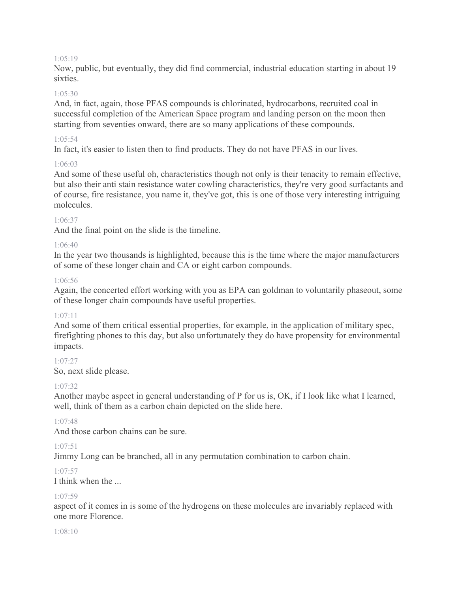#### 1:05:19

Now, public, but eventually, they did find commercial, industrial education starting in about 19 sixties.

#### 1:05:30

And, in fact, again, those PFAS compounds is chlorinated, hydrocarbons, recruited coal in successful completion of the American Space program and landing person on the moon then starting from seventies onward, there are so many applications of these compounds.

#### $1.05:54$

In fact, it's easier to listen then to find products. They do not have PFAS in our lives.

#### 1:06:03

And some of these useful oh, characteristics though not only is their tenacity to remain effective, but also their anti stain resistance water cowling characteristics, they're very good surfactants and of course, fire resistance, you name it, they've got, this is one of those very interesting intriguing molecules.

#### 1:06:37

And the final point on the slide is the timeline.

#### 1:06:40

In the year two thousands is highlighted, because this is the time where the major manufacturers of some of these longer chain and CA or eight carbon compounds.

#### 1:06:56

Again, the concerted effort working with you as EPA can goldman to voluntarily phaseout, some of these longer chain compounds have useful properties.

#### 1:07:11

And some of them critical essential properties, for example, in the application of military spec, firefighting phones to this day, but also unfortunately they do have propensity for environmental impacts.

#### 1:07:27

So, next slide please.

#### $1.07.32$

Another maybe aspect in general understanding of P for us is, OK, if I look like what I learned, well, think of them as a carbon chain depicted on the slide here.

#### 1:07:48

And those carbon chains can be sure.

## 1:07:51

Jimmy Long can be branched, all in any permutation combination to carbon chain.

#### 1:07:57

I think when the ...

#### 1:07:59

aspect of it comes in is some of the hydrogens on these molecules are invariably replaced with one more Florence.

#### 1:08:10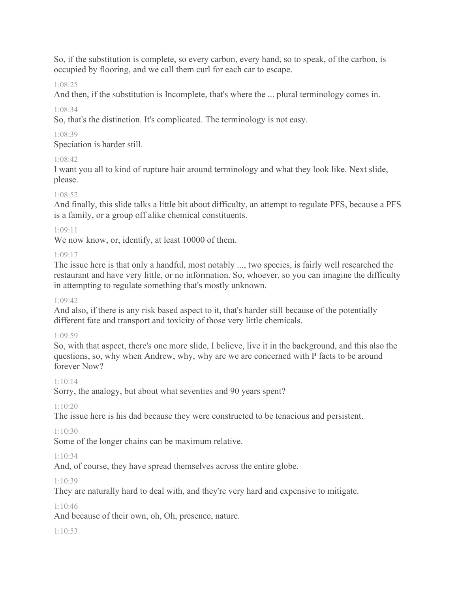So, if the substitution is complete, so every carbon, every hand, so to speak, of the carbon, is occupied by flooring, and we call them curl for each car to escape.

1:08:25

And then, if the substitution is Incomplete, that's where the ... plural terminology comes in.

1:08:34

So, that's the distinction. It's complicated. The terminology is not easy.

1:08:39

Speciation is harder still.

# 1:08:42

I want you all to kind of rupture hair around terminology and what they look like. Next slide, please.

## 1:08:52

And finally, this slide talks a little bit about difficulty, an attempt to regulate PFS, because a PFS is a family, or a group off alike chemical constituents.

## 1:09:11

We now know, or, identify, at least 10000 of them.

## 1:09:17

The issue here is that only a handful, most notably ..., two species, is fairly well researched the restaurant and have very little, or no information. So, whoever, so you can imagine the difficulty in attempting to regulate something that's mostly unknown.

## 1:09:42

And also, if there is any risk based aspect to it, that's harder still because of the potentially different fate and transport and toxicity of those very little chemicals.

## 1:09:59

So, with that aspect, there's one more slide, I believe, live it in the background, and this also the questions, so, why when Andrew, why, why are we are concerned with P facts to be around forever Now?

## 1:10:14

Sorry, the analogy, but about what seventies and 90 years spent?

# 1:10:20

The issue here is his dad because they were constructed to be tenacious and persistent.

# 1:10:30

Some of the longer chains can be maximum relative.

# 1:10:34

And, of course, they have spread themselves across the entire globe.

# 1:10:39

They are naturally hard to deal with, and they're very hard and expensive to mitigate.

# 1:10:46

And because of their own, oh, Oh, presence, nature.

# 1:10:53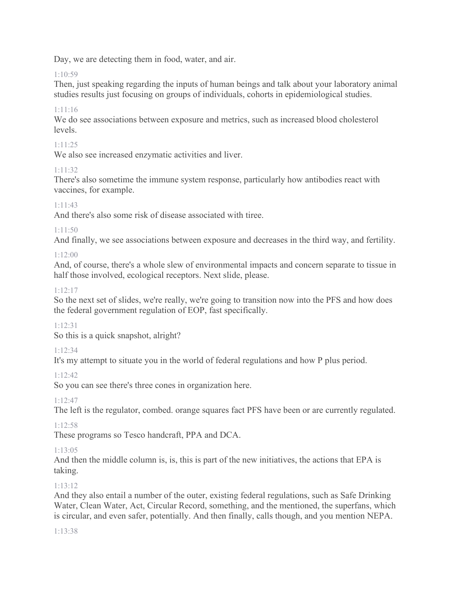Day, we are detecting them in food, water, and air.

# $1.10.59$

Then, just speaking regarding the inputs of human beings and talk about your laboratory animal studies results just focusing on groups of individuals, cohorts in epidemiological studies.

# 1:11:16

We do see associations between exposure and metrics, such as increased blood cholesterol levels.

## 1:11:25

We also see increased enzymatic activities and liver.

# 1:11:32

There's also sometime the immune system response, particularly how antibodies react with vaccines, for example.

## 1:11:43

And there's also some risk of disease associated with tiree.

## 1:11:50

And finally, we see associations between exposure and decreases in the third way, and fertility.

# 1:12:00

And, of course, there's a whole slew of environmental impacts and concern separate to tissue in half those involved, ecological receptors. Next slide, please.

## 1:12:17

So the next set of slides, we're really, we're going to transition now into the PFS and how does the federal government regulation of EOP, fast specifically.

## 1:12:31

So this is a quick snapshot, alright?

## 1:12:34

It's my attempt to situate you in the world of federal regulations and how P plus period.

1:12:42

So you can see there's three cones in organization here.

1:12:47

The left is the regulator, combed. orange squares fact PFS have been or are currently regulated.

## 1:12:58

These programs so Tesco handcraft, PPA and DCA.

# 1:13:05

And then the middle column is, is, this is part of the new initiatives, the actions that EPA is taking.

# 1:13:12

And they also entail a number of the outer, existing federal regulations, such as Safe Drinking Water, Clean Water, Act, Circular Record, something, and the mentioned, the superfans, which is circular, and even safer, potentially. And then finally, calls though, and you mention NEPA.

## 1:13:38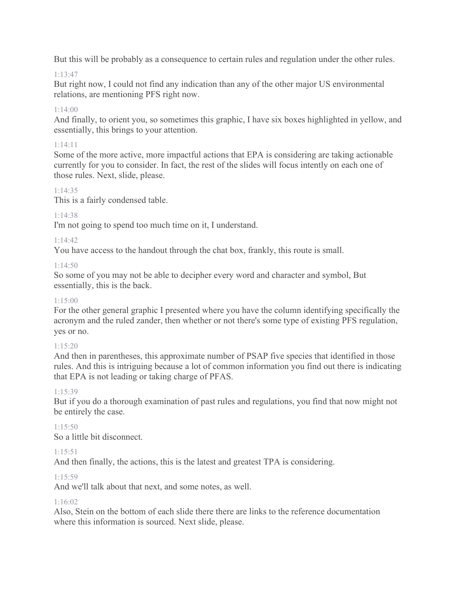But this will be probably as a consequence to certain rules and regulation under the other rules.

## 1:13:47

But right now, I could not find any indication than any of the other major US environmental relations, are mentioning PFS right now.

## 1:14:00

And finally, to orient you, so sometimes this graphic, I have six boxes highlighted in yellow, and essentially, this brings to your attention.

## 1:14:11

Some of the more active, more impactful actions that EPA is considering are taking actionable currently for you to consider. In fact, the rest of the slides will focus intently on each one of those rules. Next, slide, please.

## 1:14:35

This is a fairly condensed table.

## 1:14:38

I'm not going to spend too much time on it, I understand.

## 1:14:42

You have access to the handout through the chat box, frankly, this route is small.

## 1:14:50

So some of you may not be able to decipher every word and character and symbol, But essentially, this is the back.

## 1:15:00

For the other general graphic I presented where you have the column identifying specifically the acronym and the ruled zander, then whether or not there's some type of existing PFS regulation, yes or no.

## 1:15:20

And then in parentheses, this approximate number of PSAP five species that identified in those rules. And this is intriguing because a lot of common information you find out there is indicating that EPA is not leading or taking charge of PFAS.

## 1:15:39

But if you do a thorough examination of past rules and regulations, you find that now might not be entirely the case.

#### $1:15:50$ So a little bit disconnect.

## 1:15:51

And then finally, the actions, this is the latest and greatest TPA is considering.

## 1:15:59

And we'll talk about that next, and some notes, as well.

## 1:16:02

Also, Stein on the bottom of each slide there there are links to the reference documentation where this information is sourced. Next slide, please.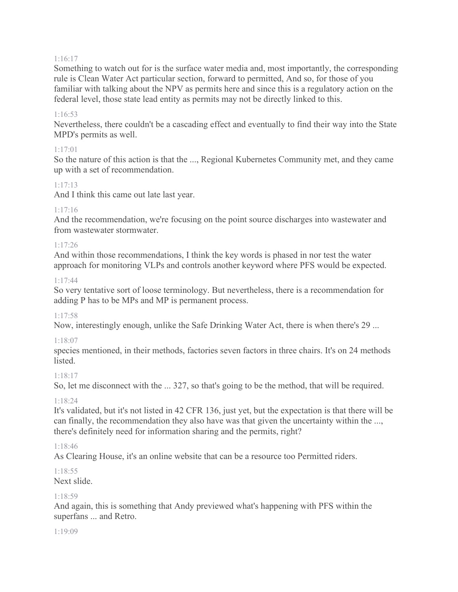#### 1:16:17

Something to watch out for is the surface water media and, most importantly, the corresponding rule is Clean Water Act particular section, forward to permitted, And so, for those of you familiar with talking about the NPV as permits here and since this is a regulatory action on the federal level, those state lead entity as permits may not be directly linked to this.

#### 1:16:53

Nevertheless, there couldn't be a cascading effect and eventually to find their way into the State MPD's permits as well.

#### 1:17:01

So the nature of this action is that the ..., Regional Kubernetes Community met, and they came up with a set of recommendation.

#### 1:17:13

And I think this came out late last year.

#### 1:17:16

And the recommendation, we're focusing on the point source discharges into wastewater and from wastewater stormwater.

#### 1:17:26

And within those recommendations, I think the key words is phased in nor test the water approach for monitoring VLPs and controls another keyword where PFS would be expected.

#### 1:17:44

So very tentative sort of loose terminology. But nevertheless, there is a recommendation for adding P has to be MPs and MP is permanent process.

#### 1:17:58

Now, interestingly enough, unlike the Safe Drinking Water Act, there is when there's 29 ...

#### 1:18:07

species mentioned, in their methods, factories seven factors in three chairs. It's on 24 methods listed.

#### 1:18:17

So, let me disconnect with the ... 327, so that's going to be the method, that will be required.

#### 1:18:24

It's validated, but it's not listed in 42 CFR 136, just yet, but the expectation is that there will be can finally, the recommendation they also have was that given the uncertainty within the ..., there's definitely need for information sharing and the permits, right?

#### 1:18:46

As Clearing House, it's an online website that can be a resource too Permitted riders.

# 1:18:55

#### Next slide.

#### 1:18:59

And again, this is something that Andy previewed what's happening with PFS within the superfans ... and Retro.

#### 1:19:09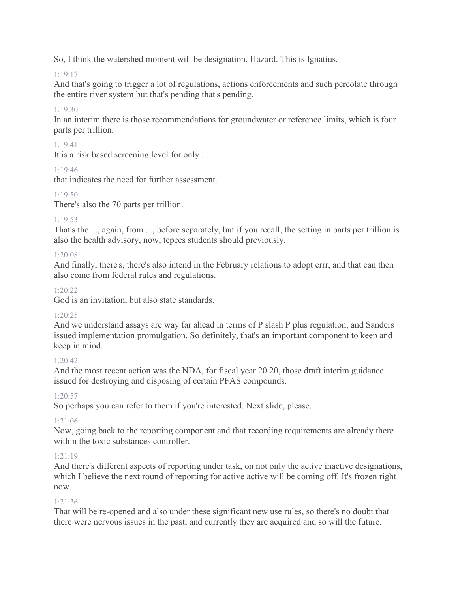So, I think the watershed moment will be designation. Hazard. This is Ignatius.

## 1:19:17

And that's going to trigger a lot of regulations, actions enforcements and such percolate through the entire river system but that's pending that's pending.

# 1:19:30

In an interim there is those recommendations for groundwater or reference limits, which is four parts per trillion.

## 1:19:41

It is a risk based screening level for only ...

## 1:19:46

that indicates the need for further assessment.

## $1.19.50$

There's also the 70 parts per trillion.

## 1:19:53

That's the ..., again, from ..., before separately, but if you recall, the setting in parts per trillion is also the health advisory, now, tepees students should previously.

## 1:20:08

And finally, there's, there's also intend in the February relations to adopt errr, and that can then also come from federal rules and regulations.

## 1:20:22

God is an invitation, but also state standards.

## 1:20:25

And we understand assays are way far ahead in terms of P slash P plus regulation, and Sanders issued implementation promulgation. So definitely, that's an important component to keep and keep in mind.

# $1:20:42$

And the most recent action was the NDA, for fiscal year 20 20, those draft interim guidance issued for destroying and disposing of certain PFAS compounds.

# 1:20:57

So perhaps you can refer to them if you're interested. Next slide, please.

# 1:21:06

Now, going back to the reporting component and that recording requirements are already there within the toxic substances controller.

# $1.21.19$

And there's different aspects of reporting under task, on not only the active inactive designations, which I believe the next round of reporting for active active will be coming off. It's frozen right now.

## 1:21:36

That will be re-opened and also under these significant new use rules, so there's no doubt that there were nervous issues in the past, and currently they are acquired and so will the future.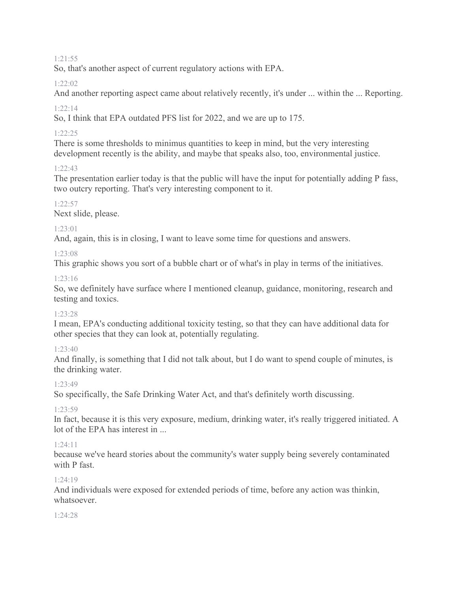#### 1:21:55

So, that's another aspect of current regulatory actions with EPA.

## 1:22:02

And another reporting aspect came about relatively recently, it's under ... within the ... Reporting.

## 1:22:14

So, I think that EPA outdated PFS list for 2022, and we are up to 175.

## 1:22:25

There is some thresholds to minimus quantities to keep in mind, but the very interesting development recently is the ability, and maybe that speaks also, too, environmental justice.

## $1.22.43$

The presentation earlier today is that the public will have the input for potentially adding P fass, two outcry reporting. That's very interesting component to it.

## 1:22:57

Next slide, please.

## 1:23:01

And, again, this is in closing, I want to leave some time for questions and answers.

## 1:23:08

This graphic shows you sort of a bubble chart or of what's in play in terms of the initiatives.

## 1:23:16

So, we definitely have surface where I mentioned cleanup, guidance, monitoring, research and testing and toxics.

## 1:23:28

I mean, EPA's conducting additional toxicity testing, so that they can have additional data for other species that they can look at, potentially regulating.

# 1:23:40

And finally, is something that I did not talk about, but I do want to spend couple of minutes, is the drinking water.

## 1:23:49

So specifically, the Safe Drinking Water Act, and that's definitely worth discussing.

# $1.23.59$

In fact, because it is this very exposure, medium, drinking water, it's really triggered initiated. A lot of the EPA has interest in ...

# 1:24:11

because we've heard stories about the community's water supply being severely contaminated with P fast.

## 1:24:19

And individuals were exposed for extended periods of time, before any action was thinkin, whatsoever.

#### 1:24:28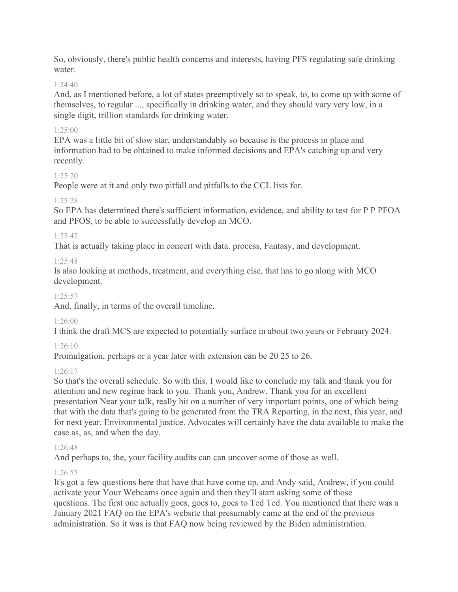So, obviously, there's public health concerns and interests, having PFS regulating safe drinking water.

## 1:24:40

And, as I mentioned before, a lot of states preemptively so to speak, to, to come up with some of themselves, to regular ..., specifically in drinking water, and they should vary very low, in a single digit, trillion standards for drinking water.

## 1:25:00

EPA was a little bit of slow star, understandably so because is the process in place and information had to be obtained to make informed decisions and EPA's catching up and very recently.

## $1:25:20$

People were at it and only two pitfall and pitfalls to the CCL lists for.

## 1:25:28

So EPA has determined there's sufficient information, evidence, and ability to test for P P PFOA and PFOS, to be able to successfully develop an MCO.

## 1:25:42

That is actually taking place in concert with data. process, Fantasy, and development.

## 1:25:48

Is also looking at methods, treatment, and everything else, that has to go along with MCO development.

## 1:25:57

And, finally, in terms of the overall timeline.

# 1:26:00

I think the draft MCS are expected to potentially surface in about two years or February 2024.

# 1:26:10

Promulgation, perhaps or a year later with extension can be 20 25 to 26.

## 1:26:17

So that's the overall schedule. So with this, I would like to conclude my talk and thank you for attention and new regime back to you. Thank you, Andrew. Thank you for an excellent presentation Near your talk, really hit on a number of very important points, one of which being that with the data that's going to be generated from the TRA Reporting, in the next, this year, and for next year. Environmental justice. Advocates will certainly have the data available to make the case as, as, and when the day.

## 1:26:48

And perhaps to, the, your facility audits can can uncover some of those as well.

# 1:26:55

It's got a few questions here that have that have come up, and Andy said, Andrew, if you could activate your Your Webcams once again and then they'll start asking some of those questions. The first one actually goes, goes to, goes to Ted Ted. You mentioned that there was a January 2021 FAQ on the EPA's website that presumably came at the end of the previous administration. So it was is that FAQ now being reviewed by the Biden administration.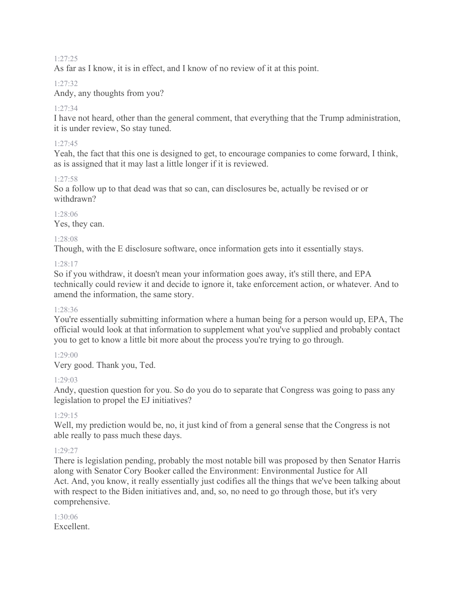#### 1:27:25

As far as I know, it is in effect, and I know of no review of it at this point.

#### 1:27:32

Andy, any thoughts from you?

#### 1:27:34

I have not heard, other than the general comment, that everything that the Trump administration, it is under review, So stay tuned.

#### 1:27:45

Yeah, the fact that this one is designed to get, to encourage companies to come forward, I think, as is assigned that it may last a little longer if it is reviewed.

#### 1:27:58

So a follow up to that dead was that so can, can disclosures be, actually be revised or or withdrawn?

#### 1:28:06 Yes, they can.

#### 1:28:08

Though, with the E disclosure software, once information gets into it essentially stays.

#### 1:28:17

So if you withdraw, it doesn't mean your information goes away, it's still there, and EPA technically could review it and decide to ignore it, take enforcement action, or whatever. And to amend the information, the same story.

#### 1:28:36

You're essentially submitting information where a human being for a person would up, EPA, The official would look at that information to supplement what you've supplied and probably contact you to get to know a little bit more about the process you're trying to go through.

#### 1:29:00

Very good. Thank you, Ted.

## 1:29:03

Andy, question question for you. So do you do to separate that Congress was going to pass any legislation to propel the EJ initiatives?

#### 1:29:15

Well, my prediction would be, no, it just kind of from a general sense that the Congress is not able really to pass much these days.

## 1:29:27

There is legislation pending, probably the most notable bill was proposed by then Senator Harris along with Senator Cory Booker called the Environment: Environmental Justice for All Act. And, you know, it really essentially just codifies all the things that we've been talking about with respect to the Biden initiatives and, and, so, no need to go through those, but it's very comprehensive.

#### 1:30:06 Excellent.